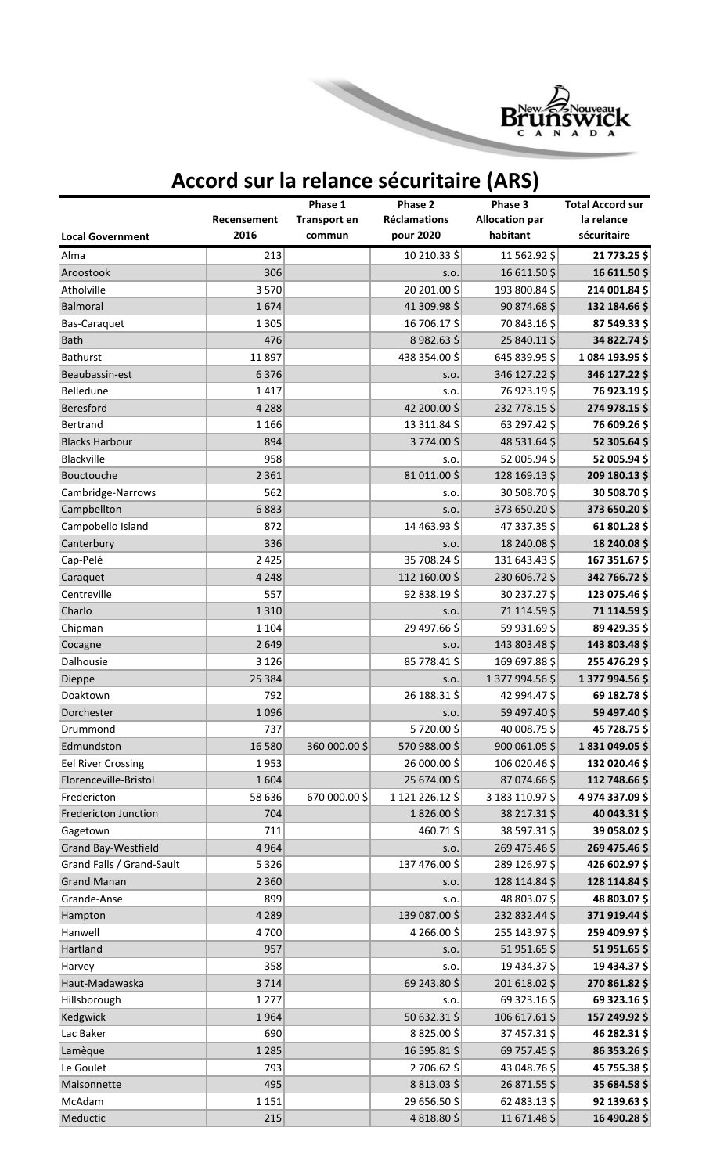

## **Accord sur la relance sécuritaire (ARS)**

|                             |                     | Phase 1             | Phase 2                          | Phase 3                           | <b>Total Accord sur</b>   |
|-----------------------------|---------------------|---------------------|----------------------------------|-----------------------------------|---------------------------|
|                             | Recensement<br>2016 | <b>Transport en</b> | <b>Réclamations</b><br>pour 2020 | <b>Allocation par</b><br>habitant | la relance<br>sécuritaire |
| <b>Local Government</b>     |                     | commun              |                                  |                                   |                           |
| Alma                        | 213                 |                     | 10 210.33 \$                     | 11 562.92 \$                      | 21 773.25 \$              |
| Aroostook                   | 306                 |                     | S.O.                             | 16 611.50 \$                      | 16 611.50 \$              |
| Atholville                  | 3570                |                     | 20 201.00\$                      | 193 800.84 \$                     | 214 001.84 \$             |
| Balmoral                    | 1674                |                     | 41 309.98 \$                     | 90 874.68 \$                      | 132 184.66 \$             |
| Bas-Caraquet                | 1 3 0 5             |                     | 16 706.17 \$                     | 70 843.16 \$                      | 87 549.33 \$              |
| <b>Bath</b>                 | 476                 |                     | 8982.63\$                        | 25 840.11\$                       | 34 822.74 \$              |
| Bathurst                    | 11897               |                     | 438 354.00\$                     | 645 839.95 \$                     | 1084 193.95 \$            |
| Beaubassin-est              | 6376                |                     | S.O.                             | 346 127.22 \$                     | 346 127.22 \$             |
| Belledune                   | 1417                |                     | S.O.                             | 76 923.19 \$                      | 76 923.19 \$              |
| Beresford                   | 4 2 8 8             |                     | 42 200.00\$                      | 232 778.15 \$                     | 274 978.15\$              |
| Bertrand                    | 1 1 6 6             |                     | 13 311.84 \$                     | 63 297.42 \$                      | 76 609.26 \$              |
| <b>Blacks Harbour</b>       | 894                 |                     | 3774.00\$                        | 48 531.64 \$                      | 52 305.64 \$              |
| Blackville                  | 958                 |                     | S.O.                             | 52 005.94 \$                      | 52 005.94 \$              |
| Bouctouche                  | 2 3 6 1             |                     | 81 011.00 \$                     | 128 169.13 \$                     | 209 180.13 \$             |
| Cambridge-Narrows           | 562                 |                     | S.O.                             | 30 508.70\$                       | 30 508.70 \$              |
| Campbellton                 | 6883                |                     | S.O.                             | 373 650.20\$                      | 373 650.20\$              |
| Campobello Island           | 872                 |                     | 14 463.93 \$                     | 47 337.35 \$                      | 61 801.28 \$              |
| Canterbury                  | 336                 |                     | S.O.                             | 18 240.08 \$                      | 18 240.08 \$              |
| Cap-Pelé                    | 2 4 2 5             |                     | 35 708.24 \$                     | 131 643.43 \$                     | 167 351.67 \$             |
| Caraquet                    | 4 2 4 8             |                     | 112 160.00 \$                    | 230 606.72 \$                     | 342 766.72 \$             |
| Centreville                 | 557                 |                     | 92 838.19\$                      | 30 237.27 \$                      | 123 075.46 \$             |
| Charlo                      | 1310                |                     | S.O.                             | 71 114.59 \$                      | 71 114.59 \$              |
| Chipman                     | 1 1 0 4             |                     | 29 497.66 \$                     | 59 931.69 \$                      | 89 429.35 \$              |
| Cocagne                     | 2 6 4 9             |                     | S.O.                             | 143 803.48 \$                     | 143 803.48 \$             |
| Dalhousie                   | 3 1 2 6             |                     | 85 778.41 \$                     | 169 697.88 \$                     | 255 476.29\$              |
| Dieppe                      | 25 384              |                     | S.O.                             | 1 377 994.56 \$                   | 1 377 994.56 \$           |
| Doaktown                    | 792                 |                     | 26 188.31 \$                     | 42 994.47\$                       | 69 182.78 \$              |
| Dorchester                  | 1096                |                     | S.O.                             | 59 497.40 \$                      | 59 497.40 \$              |
| Drummond                    | 737                 |                     | 5720.00\$                        | 40 008.75 \$                      | 45 728.75 \$              |
| Edmundston                  | 16 580              | 360 000.00\$        | 570 988.00\$                     | 900 061.05 \$                     | 1831049.05\$              |
| <b>Eel River Crossing</b>   | 1953                |                     | 26 000.00\$                      | 106 020.46 \$                     | 132 020.46 \$             |
| Florenceville-Bristol       | 1604                |                     | 25 674.00\$                      | 87 074.66\$                       | 112 748.66 \$             |
| Fredericton                 | 58 636              | 670 000.00\$        | 1 121 226.12 \$                  | 3 183 110.97 \$                   | 4 974 337.09 \$           |
| <b>Fredericton Junction</b> | 704                 |                     | 1826.00\$                        | 38 217.31 \$                      | 40 043.31 \$              |
| Gagetown                    | 711                 |                     | 460.71\$                         | 38 597.31 \$                      | 39 058.02 \$              |
| Grand Bay-Westfield         | 4 9 6 4             |                     | S.O.                             | 269 475.46 \$                     | 269 475.46 \$             |
| Grand Falls / Grand-Sault   | 5 3 2 6             |                     | 137 476.00\$                     | 289 126.97 \$                     | 426 602.97 \$             |
| <b>Grand Manan</b>          | 2 3 6 0             |                     | S.O.                             | 128 114.84 \$                     | 128 114.84 \$             |
| Grande-Anse                 | 899                 |                     | S.O.                             | 48 803.07\$                       | 48 803.07\$               |
| Hampton                     | 4 2 8 9             |                     | 139 087.00\$                     | 232 832.44 \$                     | 371 919.44 \$             |
| Hanwell                     | 4700                |                     | 4 266.00\$                       | 255 143.97 \$                     | 259 409.97 \$             |
| Hartland                    | 957                 |                     | S.O.                             | 51 951.65 \$                      | 51 951.65 \$              |
| Harvey                      | 358                 |                     | S.O.                             | 19 434.37\$                       | 19 434.37 \$              |
| Haut-Madawaska              | 3714                |                     | 69 243.80 \$                     | 201 618.02 \$                     | 270 861.82 \$             |
| Hillsborough                | 1 2 7 7             |                     | S.O.                             | 69 323.16\$                       | 69 323.16 \$              |
| Kedgwick                    | 1964                |                     | 50 632.31 \$                     | 106 617.61 \$                     | 157 249.92 \$             |
| Lac Baker                   | 690                 |                     | 8825.00\$                        | 37 457.31 \$                      | 46 282.31\$               |
| Lamèque                     | 1 2 8 5             |                     | 16 595.81 \$                     | 69 757.45 \$                      | 86 353.26 \$              |
| Le Goulet                   | 793                 |                     | 2706.62\$                        | 43 048.76 \$                      | 45 755.38 \$              |
| Maisonnette                 | 495                 |                     | 8813.03\$                        | 26 871.55 \$                      | 35 684.58 \$              |
| McAdam                      | 1 1 5 1             |                     | 29 656.50 \$                     | 62 483.13\$                       | 92 139.63 \$              |
| Meductic                    | 215                 |                     | 4818.80\$                        | 11 671.48 \$                      | 16 490.28 \$              |